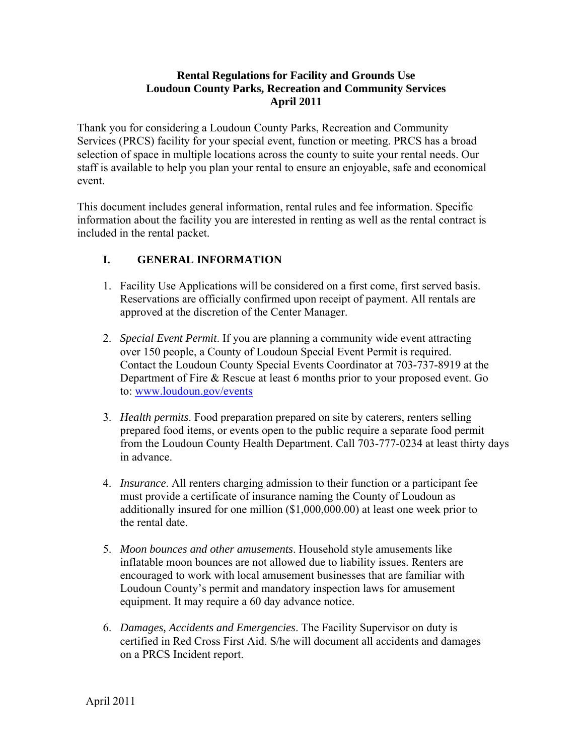## **Rental Regulations for Facility and Grounds Use Loudoun County Parks, Recreation and Community Services April 2011**

Thank you for considering a Loudoun County Parks, Recreation and Community Services (PRCS) facility for your special event, function or meeting. PRCS has a broad selection of space in multiple locations across the county to suite your rental needs. Our staff is available to help you plan your rental to ensure an enjoyable, safe and economical event.

This document includes general information, rental rules and fee information. Specific information about the facility you are interested in renting as well as the rental contract is included in the rental packet.

# **I. GENERAL INFORMATION**

- 1. Facility Use Applications will be considered on a first come, first served basis. Reservations are officially confirmed upon receipt of payment. All rentals are approved at the discretion of the Center Manager.
- 2. *Special Event Permit*. If you are planning a community wide event attracting over 150 people, a County of Loudoun Special Event Permit is required. Contact the Loudoun County Special Events Coordinator at 703-737-8919 at the Department of Fire & Rescue at least 6 months prior to your proposed event. Go to: www.loudoun.gov/events
- 3. *Health permits*. Food preparation prepared on site by caterers, renters selling prepared food items, or events open to the public require a separate food permit from the Loudoun County Health Department. Call 703-777-0234 at least thirty days in advance.
- 4. *Insurance*. All renters charging admission to their function or a participant fee must provide a certificate of insurance naming the County of Loudoun as additionally insured for one million (\$1,000,000.00) at least one week prior to the rental date.
- 5. *Moon bounces and other amusements*. Household style amusements like inflatable moon bounces are not allowed due to liability issues. Renters are encouraged to work with local amusement businesses that are familiar with Loudoun County's permit and mandatory inspection laws for amusement equipment. It may require a 60 day advance notice.
- 6. *Damages, Accidents and Emergencies*. The Facility Supervisor on duty is certified in Red Cross First Aid. S/he will document all accidents and damages on a PRCS Incident report.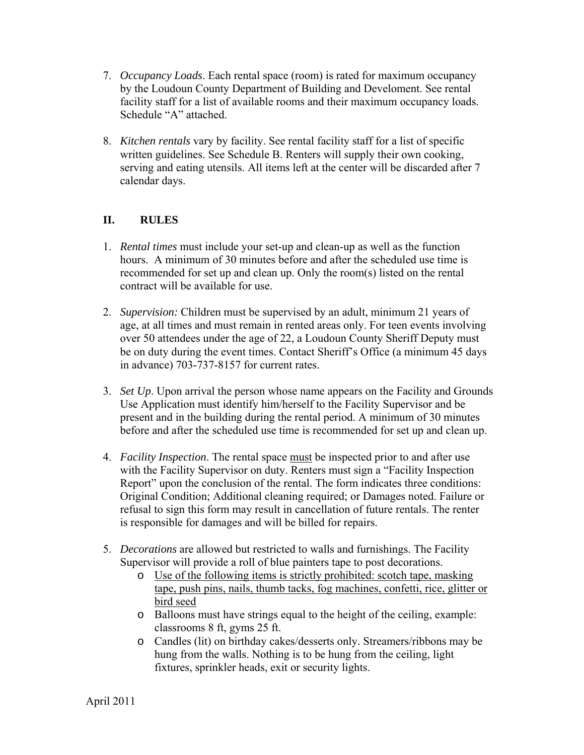- 7. *Occupancy Loads*. Each rental space (room) is rated for maximum occupancy by the Loudoun County Department of Building and Develoment. See rental facility staff for a list of available rooms and their maximum occupancy loads. Schedule "A" attached.
- 8. *Kitchen rentals* vary by facility. See rental facility staff for a list of specific written guidelines. See Schedule B. Renters will supply their own cooking, serving and eating utensils. All items left at the center will be discarded after 7 calendar days.

# **II. RULES**

- 1. *Rental times* must include your set-up and clean-up as well as the function hours. A minimum of 30 minutes before and after the scheduled use time is recommended for set up and clean up. Only the room(s) listed on the rental contract will be available for use.
- 2. *Supervision:* Children must be supervised by an adult, minimum 21 years of age, at all times and must remain in rented areas only. For teen events involving over 50 attendees under the age of 22, a Loudoun County Sheriff Deputy must be on duty during the event times. Contact Sheriff's Office (a minimum 45 days in advance) 703-737-8157 for current rates.
- 3. *Set Up*. Upon arrival the person whose name appears on the Facility and Grounds Use Application must identify him/herself to the Facility Supervisor and be present and in the building during the rental period. A minimum of 30 minutes before and after the scheduled use time is recommended for set up and clean up.
- 4. *Facility Inspection*. The rental space must be inspected prior to and after use with the Facility Supervisor on duty. Renters must sign a "Facility Inspection Report" upon the conclusion of the rental. The form indicates three conditions: Original Condition; Additional cleaning required; or Damages noted. Failure or refusal to sign this form may result in cancellation of future rentals. The renter is responsible for damages and will be billed for repairs.
- 5. *Decorations* are allowed but restricted to walls and furnishings. The Facility Supervisor will provide a roll of blue painters tape to post decorations.
	- o Use of the following items is strictly prohibited: scotch tape, masking tape, push pins, nails, thumb tacks, fog machines, confetti, rice, glitter or bird seed
	- o Balloons must have strings equal to the height of the ceiling, example: classrooms 8 ft, gyms 25 ft.
	- o Candles (lit) on birthday cakes/desserts only. Streamers/ribbons may be hung from the walls. Nothing is to be hung from the ceiling, light fixtures, sprinkler heads, exit or security lights.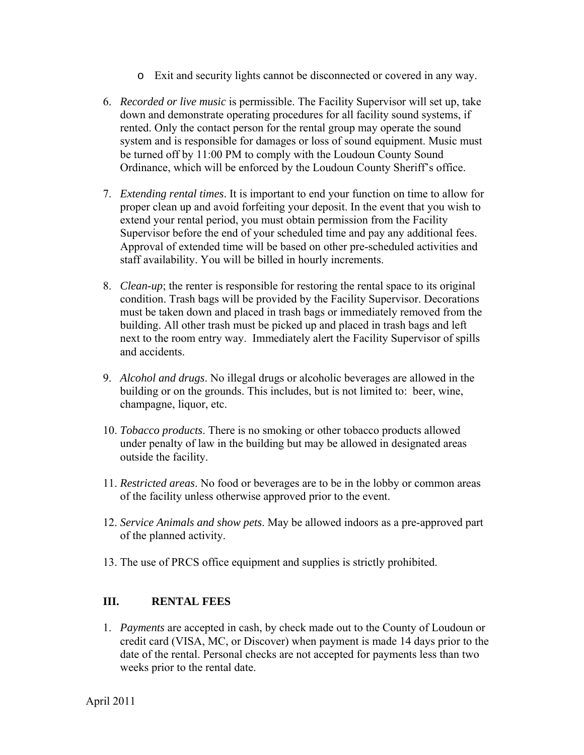- o Exit and security lights cannot be disconnected or covered in any way.
- 6. *Recorded or live music* is permissible. The Facility Supervisor will set up, take down and demonstrate operating procedures for all facility sound systems, if rented. Only the contact person for the rental group may operate the sound system and is responsible for damages or loss of sound equipment. Music must be turned off by 11:00 PM to comply with the Loudoun County Sound Ordinance, which will be enforced by the Loudoun County Sheriff's office.
- 7. *Extending rental times*. It is important to end your function on time to allow for proper clean up and avoid forfeiting your deposit. In the event that you wish to extend your rental period, you must obtain permission from the Facility Supervisor before the end of your scheduled time and pay any additional fees. Approval of extended time will be based on other pre-scheduled activities and staff availability. You will be billed in hourly increments.
- 8. *Clean-up*; the renter is responsible for restoring the rental space to its original condition. Trash bags will be provided by the Facility Supervisor. Decorations must be taken down and placed in trash bags or immediately removed from the building. All other trash must be picked up and placed in trash bags and left next to the room entry way. Immediately alert the Facility Supervisor of spills and accidents.
- 9. *Alcohol and drugs*. No illegal drugs or alcoholic beverages are allowed in the building or on the grounds. This includes, but is not limited to: beer, wine, champagne, liquor, etc.
- 10. *Tobacco products*. There is no smoking or other tobacco products allowed under penalty of law in the building but may be allowed in designated areas outside the facility.
- 11. *Restricted areas*. No food or beverages are to be in the lobby or common areas of the facility unless otherwise approved prior to the event.
- 12. *Service Animals and show pets*. May be allowed indoors as a pre-approved part of the planned activity.
- 13. The use of PRCS office equipment and supplies is strictly prohibited.

## **III. RENTAL FEES**

1. *Payments* are accepted in cash, by check made out to the County of Loudoun or credit card (VISA, MC, or Discover) when payment is made 14 days prior to the date of the rental. Personal checks are not accepted for payments less than two weeks prior to the rental date.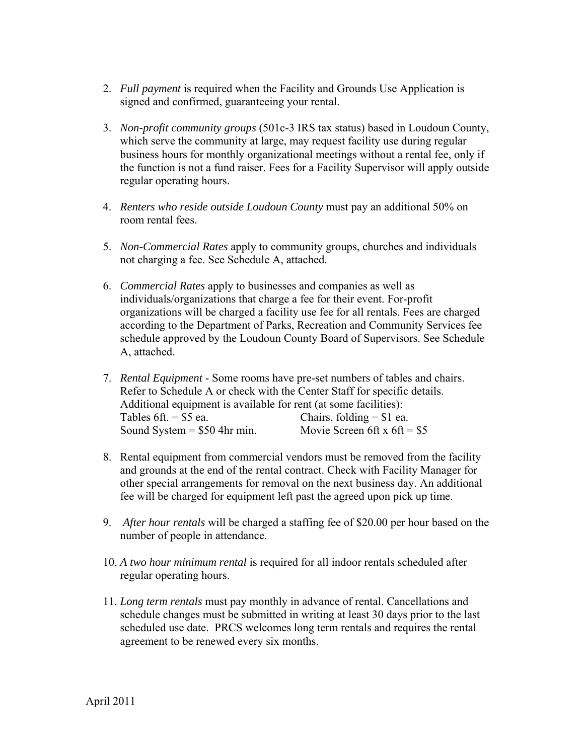- 2. *Full payment* is required when the Facility and Grounds Use Application is signed and confirmed, guaranteeing your rental.
- 3. *Non-profit community groups* (501c-3 IRS tax status) based in Loudoun County, which serve the community at large, may request facility use during regular business hours for monthly organizational meetings without a rental fee, only if the function is not a fund raiser. Fees for a Facility Supervisor will apply outside regular operating hours.
- 4. *Renters who reside outside Loudoun County* must pay an additional 50% on room rental fees.
- 5. *Non-Commercial Rates* apply to community groups, churches and individuals not charging a fee. See Schedule A, attached.
- 6. *Commercial Rates* apply to businesses and companies as well as individuals/organizations that charge a fee for their event. For-profit organizations will be charged a facility use fee for all rentals. Fees are charged according to the Department of Parks, Recreation and Community Services fee schedule approved by the Loudoun County Board of Supervisors. See Schedule A, attached.
- 7. *Rental Equipment* Some rooms have pre-set numbers of tables and chairs. Refer to Schedule A or check with the Center Staff for specific details. Additional equipment is available for rent (at some facilities): Tables 6ft. =  $$5$  ea. Chairs, folding =  $$1$  ea. Sound System =  $$50$  4hr min. Movie Screen 6ft x 6ft =  $$5$
- 8. Rental equipment from commercial vendors must be removed from the facility and grounds at the end of the rental contract. Check with Facility Manager for other special arrangements for removal on the next business day. An additional fee will be charged for equipment left past the agreed upon pick up time.
- 9. *After hour rentals* will be charged a staffing fee of \$20.00 per hour based on the number of people in attendance.
- 10. *A two hour minimum rental* is required for all indoor rentals scheduled after regular operating hours.
- 11. *Long term rentals* must pay monthly in advance of rental. Cancellations and schedule changes must be submitted in writing at least 30 days prior to the last scheduled use date. PRCS welcomes long term rentals and requires the rental agreement to be renewed every six months.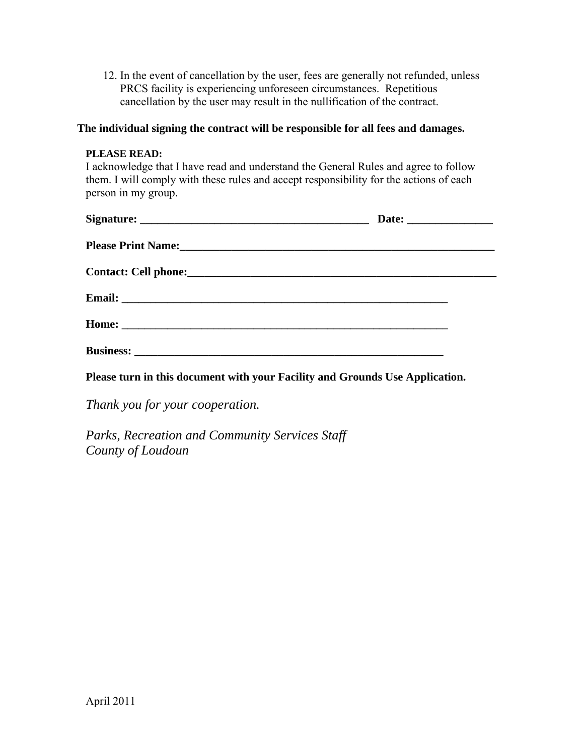12. In the event of cancellation by the user, fees are generally not refunded, unless PRCS facility is experiencing unforeseen circumstances. Repetitious cancellation by the user may result in the nullification of the contract.

### **The individual signing the contract will be responsible for all fees and damages.**

### **PLEASE READ:**

I acknowledge that I have read and understand the General Rules and agree to follow them. I will comply with these rules and accept responsibility for the actions of each person in my group.

**Please turn in this document with your Facility and Grounds Use Application.** 

*Thank you for your cooperation.* 

*Parks, Recreation and Community Services Staff County of Loudoun*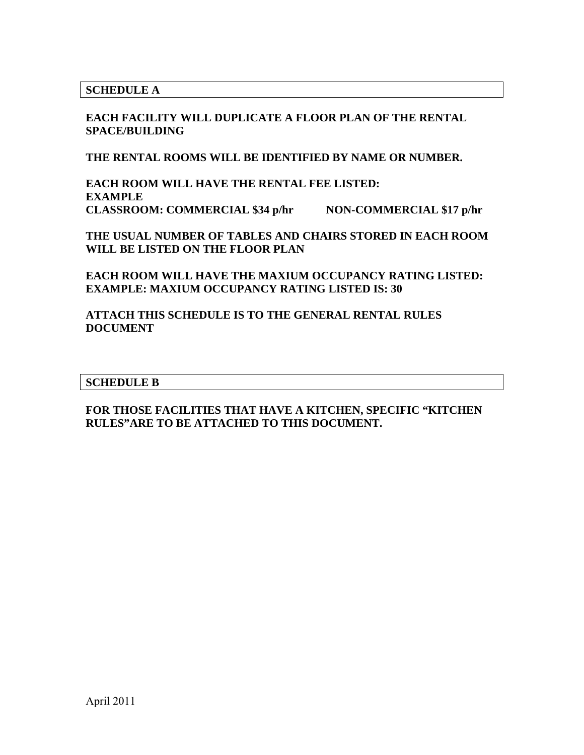**SCHEDULE A** 

**EACH FACILITY WILL DUPLICATE A FLOOR PLAN OF THE RENTAL SPACE/BUILDING** 

**THE RENTAL ROOMS WILL BE IDENTIFIED BY NAME OR NUMBER.** 

**EACH ROOM WILL HAVE THE RENTAL FEE LISTED: EXAMPLE CLASSROOM: COMMERCIAL \$34 p/hr NON-COMMERCIAL \$17 p/hr** 

**THE USUAL NUMBER OF TABLES AND CHAIRS STORED IN EACH ROOM WILL BE LISTED ON THE FLOOR PLAN** 

**EACH ROOM WILL HAVE THE MAXIUM OCCUPANCY RATING LISTED: EXAMPLE: MAXIUM OCCUPANCY RATING LISTED IS: 30** 

**ATTACH THIS SCHEDULE IS TO THE GENERAL RENTAL RULES DOCUMENT** 

#### **SCHEDULE B**

**FOR THOSE FACILITIES THAT HAVE A KITCHEN, SPECIFIC "KITCHEN RULES"ARE TO BE ATTACHED TO THIS DOCUMENT.**